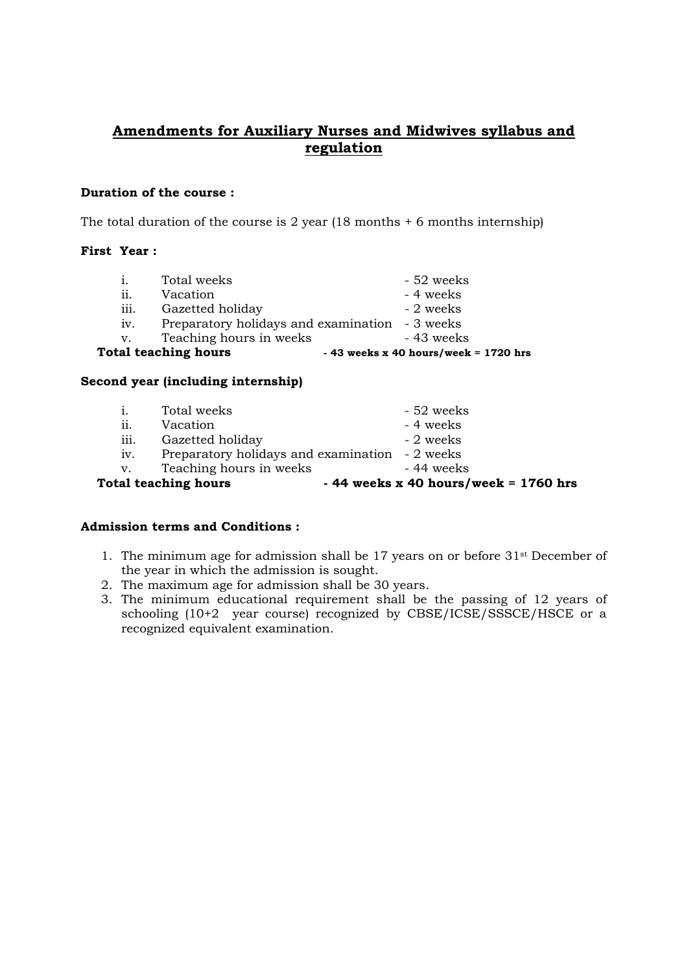# **Amendments for Auxiliary Nurses and Midwives syllabus and regulation**

### **Duration of the course :**

The total duration of the course is 2 year  $(18 \text{ months} + 6 \text{ months}$  internship)

## **First Year :**

|      | <b>Total teaching hours</b>                    | $-43$ weeks x 40 hours/week = 1720 hrs |
|------|------------------------------------------------|----------------------------------------|
| V.   | Teaching hours in weeks                        | - 43 weeks                             |
| iv.  | Preparatory holidays and examination - 3 weeks |                                        |
| iii. | Gazetted holiday                               | - 2 weeks                              |
| ii.  | Vacation                                       | - 4 weeks                              |
| 1.   | Total weeks                                    | - 52 weeks                             |

### **Second year (including internship)**

|      | <b>Total teaching hours</b>                    | $-44$ weeks x 40 hours/week = 1760 hrs |
|------|------------------------------------------------|----------------------------------------|
| V.   | Teaching hours in weeks                        | - 44 weeks                             |
| 1V.  | Preparatory holidays and examination - 2 weeks |                                        |
| iii. | Gazetted holiday                               | - 2 weeks                              |
| ii.  | Vacation                                       | - 4 weeks                              |
|      | Total weeks                                    | - 52 weeks                             |

# **Admission terms and Conditions :**

- 1. The minimum age for admission shall be 17 years on or before 31st December of the year in which the admission is sought.
- 2. The maximum age for admission shall be 30 years.
- 3. The minimum educational requirement shall be the passing of 12 years of schooling (10+2 year course) recognized by CBSE/ICSE/SSSCE/HSCE or a recognized equivalent examination.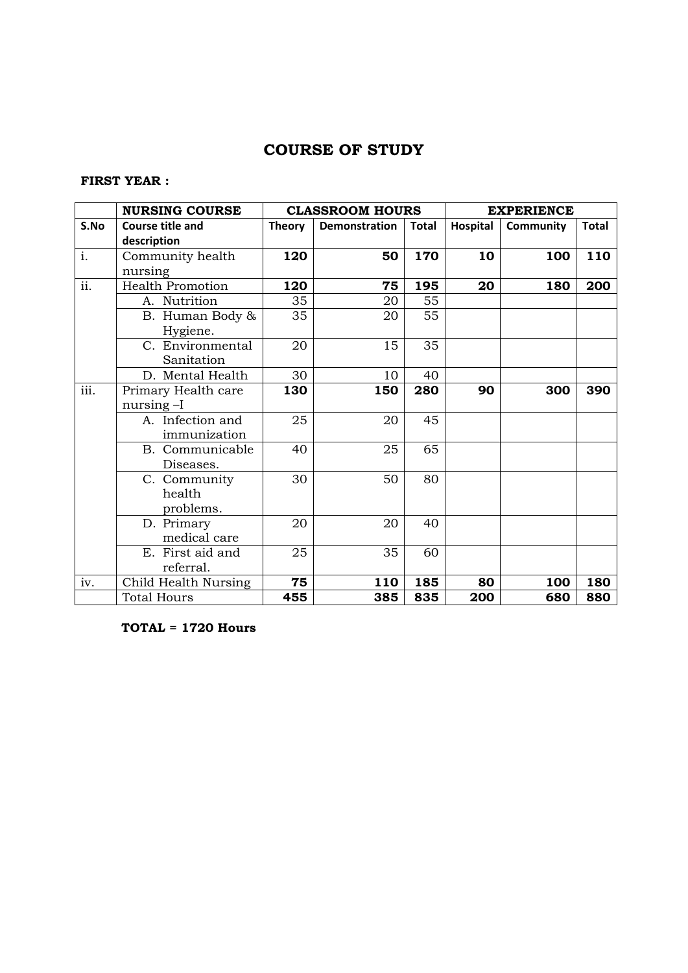# **COURSE OF STUDY**

# **FIRST YEAR :**

|                           | <b>NURSING COURSE</b>   |               | <b>CLASSROOM HOURS</b> |              | <b>EXPERIENCE</b> |           |              |
|---------------------------|-------------------------|---------------|------------------------|--------------|-------------------|-----------|--------------|
| S.No                      | <b>Course title and</b> | <b>Theory</b> | <b>Demonstration</b>   | <b>Total</b> | Hospital          | Community | <b>Total</b> |
|                           | description             |               |                        |              |                   |           |              |
| $\overline{i}$ .          | Community health        | 120           | 50                     | 170          | 10                | 100       | 110          |
|                           | nursing                 |               |                        |              |                   |           |              |
| ii.                       | <b>Health Promotion</b> | 120           | 75                     | 195          | 20                | 180       | 200          |
|                           | A. Nutrition            | 35            | 20                     | 55           |                   |           |              |
|                           | B. Human Body &         | 35            | 20                     | 55           |                   |           |              |
|                           | Hygiene.                |               |                        |              |                   |           |              |
|                           | C. Environmental        | 20            | 15                     | 35           |                   |           |              |
|                           | Sanitation              |               |                        |              |                   |           |              |
|                           | D. Mental Health        | 30            | 10                     | 40           |                   |           |              |
| $\overline{\text{iii}}$ . | Primary Health care     | 130           | 150                    | 280          | 90                | 300       | 390          |
|                           | nursing -I              |               |                        |              |                   |           |              |
|                           | A. Infection and        | 25            | 20                     | 45           |                   |           |              |
|                           | immunization            |               |                        |              |                   |           |              |
|                           | B. Communicable         | 40            | 25                     | 65           |                   |           |              |
|                           | Diseases.               |               |                        |              |                   |           |              |
|                           | C. Community            | 30            | 50                     | 80           |                   |           |              |
|                           | health                  |               |                        |              |                   |           |              |
|                           | problems.               |               |                        |              |                   |           |              |
|                           | D. Primary              | 20            | 20                     | 40           |                   |           |              |
|                           | medical care            |               |                        |              |                   |           |              |
|                           | E. First aid and        | 25            | 35                     | 60           |                   |           |              |
|                           | referral.               |               |                        |              |                   |           |              |
| iv.                       | Child Health Nursing    | 75            | 110                    | 185          | 80                | 100       | 180          |
|                           | <b>Total Hours</b>      | 455           | 385                    | 835          | 200               | 680       | 880          |

**TOTAL = 1720 Hours**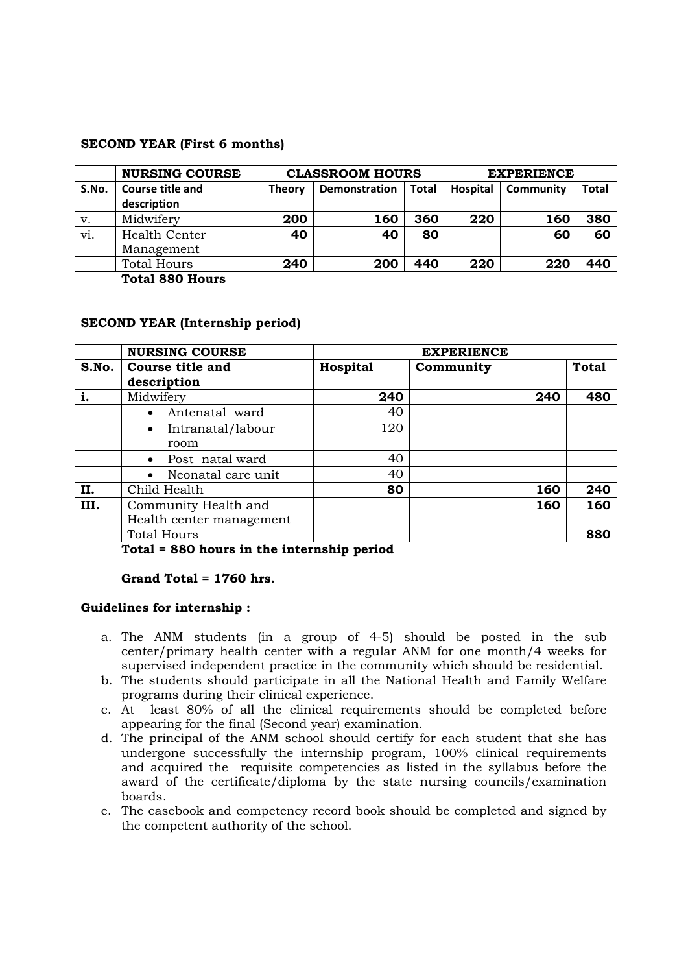### **SECOND YEAR (First 6 months)**

|       | <b>NURSING COURSE</b> | <b>CLASSROOM HOURS</b> |                               |     | <b>EXPERIENCE</b> |           |       |
|-------|-----------------------|------------------------|-------------------------------|-----|-------------------|-----------|-------|
| S.No. | Course title and      | <b>Theory</b>          | <b>Total</b><br>Demonstration |     | Hospital          | Community | Total |
|       | description           |                        |                               |     |                   |           |       |
| v.    | Midwifery             | 200                    | 160                           | 360 | 220               | 160       | 380   |
| vi.   | Health Center         | 40                     | 40                            | 80  |                   | 60        | 60    |
|       | Management            |                        |                               |     |                   |           |       |
|       | <b>Total Hours</b>    | 240                    | 200                           | 440 | 220               | 220       | 440   |

**Total 880 Hours** 

### **SECOND YEAR (Internship period)**

|       | <b>NURSING COURSE</b>           | <b>EXPERIENCE</b> |           |              |
|-------|---------------------------------|-------------------|-----------|--------------|
| S.No. | Course title and                | Hospital          | Community | <b>Total</b> |
|       | description                     |                   |           |              |
|       | Midwifery                       | 240               | 240       | 480          |
|       | Antenatal ward<br>$\bullet$     | 40                |           |              |
|       | Intranatal/labour<br>$\bullet$  | 120               |           |              |
|       | room                            |                   |           |              |
|       | Post natal ward<br>$\bullet$    | 40                |           |              |
|       | Neonatal care unit<br>$\bullet$ | 40                |           |              |
| II.   | Child Health                    | 80                | 160       | 240          |
| III.  | Community Health and            |                   | 160       | 160          |
|       | Health center management        |                   |           |              |
|       | <b>Total Hours</b>              |                   |           | 880          |

**Total = 880 hours in the internship period** 

#### **Grand Total = 1760 hrs.**

#### **Guidelines for internship :**

- a. The ANM students (in a group of 4-5) should be posted in the sub center/primary health center with a regular ANM for one month/4 weeks for supervised independent practice in the community which should be residential.
- b. The students should participate in all the National Health and Family Welfare programs during their clinical experience.
- c. At least 80% of all the clinical requirements should be completed before appearing for the final (Second year) examination.
- d. The principal of the ANM school should certify for each student that she has undergone successfully the internship program, 100% clinical requirements and acquired the requisite competencies as listed in the syllabus before the award of the certificate/diploma by the state nursing councils/examination boards.
- e. The casebook and competency record book should be completed and signed by the competent authority of the school.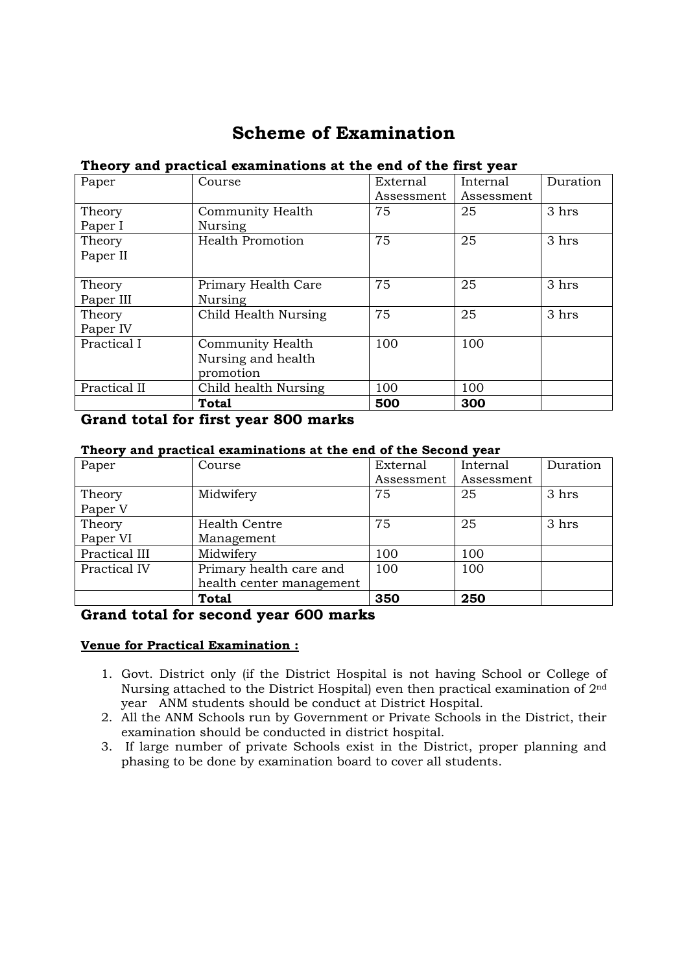# **Scheme of Examination**

# **Theory and practical examinations at the end of the first year**

| Paper        | Course                  | External   | Internal   | Duration |
|--------------|-------------------------|------------|------------|----------|
|              |                         | Assessment | Assessment |          |
| Theory       | Community Health        | 75         | 25         | 3 hrs    |
| Paper I      | Nursing                 |            |            |          |
| Theory       | <b>Health Promotion</b> | 75         | 25         | 3 hrs    |
| Paper II     |                         |            |            |          |
|              |                         |            |            |          |
| Theory       | Primary Health Care     | 75         | 25         | 3 hrs    |
| Paper III    | Nursing                 |            |            |          |
| Theory       | Child Health Nursing    | 75         | 25         | 3 hrs    |
| Paper IV     |                         |            |            |          |
| Practical I  | Community Health        | 100        | 100        |          |
|              | Nursing and health      |            |            |          |
|              | promotion               |            |            |          |
| Practical II | Child health Nursing    | 100        | 100        |          |
|              | Total                   | 500        | 300        |          |

### **Grand total for first year 800 marks**

# **Theory and practical examinations at the end of the Second year**

| Paper         | Course                   | External   | Internal   | Duration |
|---------------|--------------------------|------------|------------|----------|
|               |                          | Assessment | Assessment |          |
| Theory        | Midwifery                | 75         | 25         | 3 hrs    |
| Paper V       |                          |            |            |          |
| Theory        | <b>Health Centre</b>     | 75         | 25         | 3 hrs    |
| Paper VI      | Management               |            |            |          |
| Practical III | Midwifery                | 100        | 100        |          |
| Practical IV  | Primary health care and  | 100        | 100        |          |
|               | health center management |            |            |          |
|               | <b>Total</b>             | 350        | 250        |          |

# **Grand total for second year 600 marks**

### **Venue for Practical Examination :**

- 1. Govt. District only (if the District Hospital is not having School or College of Nursing attached to the District Hospital) even then practical examination of 2nd year ANM students should be conduct at District Hospital.
- 2. All the ANM Schools run by Government or Private Schools in the District, their examination should be conducted in district hospital.
- 3. If large number of private Schools exist in the District, proper planning and phasing to be done by examination board to cover all students.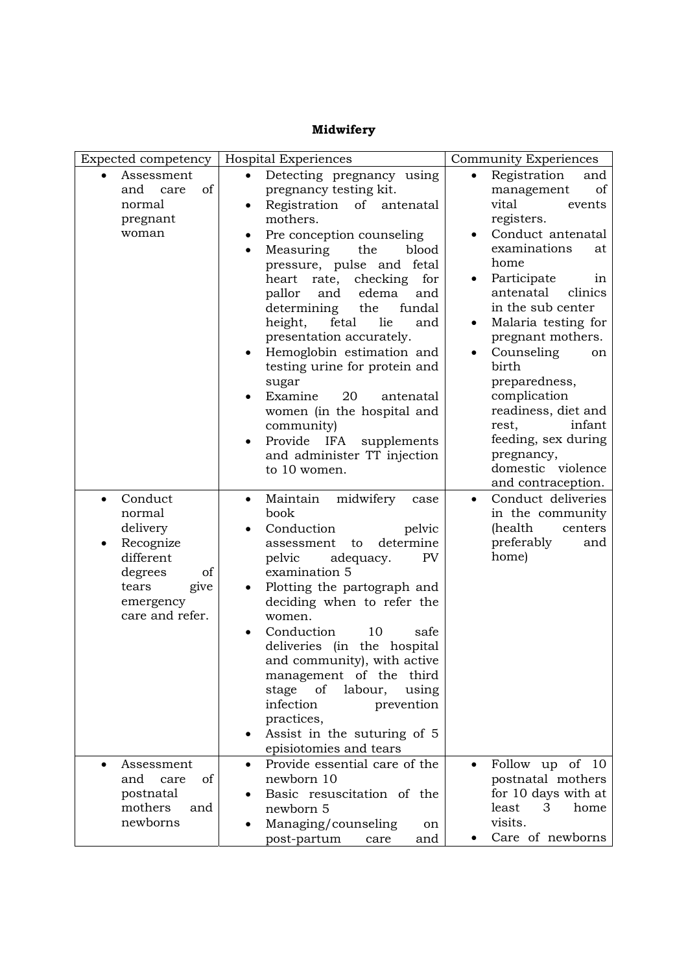#### Expected competency | Hospital Experiences | Community Experiences Assessment and care of normal pregnant woman • Detecting pregnancy using pregnancy testing kit. Registration of antenatal mothers. Pre conception counseling Measuring the blood pressure, pulse and fetal heart rate, checking for pallor and edema and determining the fundal height, fetal lie and presentation accurately. Hemoglobin estimation and testing urine for protein and sugar Examine 20 antenatal women (in the hospital and community) Provide IFA supplements and administer TT injection to 10 women. Registration and management of vital events registers. Conduct antenatal examinations at home Participate in antenatal clinics in the sub center Malaria testing for pregnant mothers. Counseling on birth preparedness, complication readiness, diet and rest, infant feeding, sex during pregnancy, domestic violence and contraception. Conduct normal delivery Recognize different degrees of tears give emergency care and refer. Maintain midwifery case book Conduction pelvic assessment to determine pelvic adequacy. PV examination 5 Plotting the partograph and deciding when to refer the women. Conduction 10 safe deliveries (in the hospital and community), with active management of the third stage of labour, using infection prevention practices, Assist in the suturing of 5 episiotomies and tears Conduct deliveries in the community (health centers preferably and home) Assessment and care of postnatal mothers and newborns Provide essential care of the newborn 10 Basic resuscitation of the newborn 5 Managing/counseling on post-partum care and Follow up of 10 postnatal mothers for 10 days with at least 3 home visits. Care of newborns

### **Midwifery**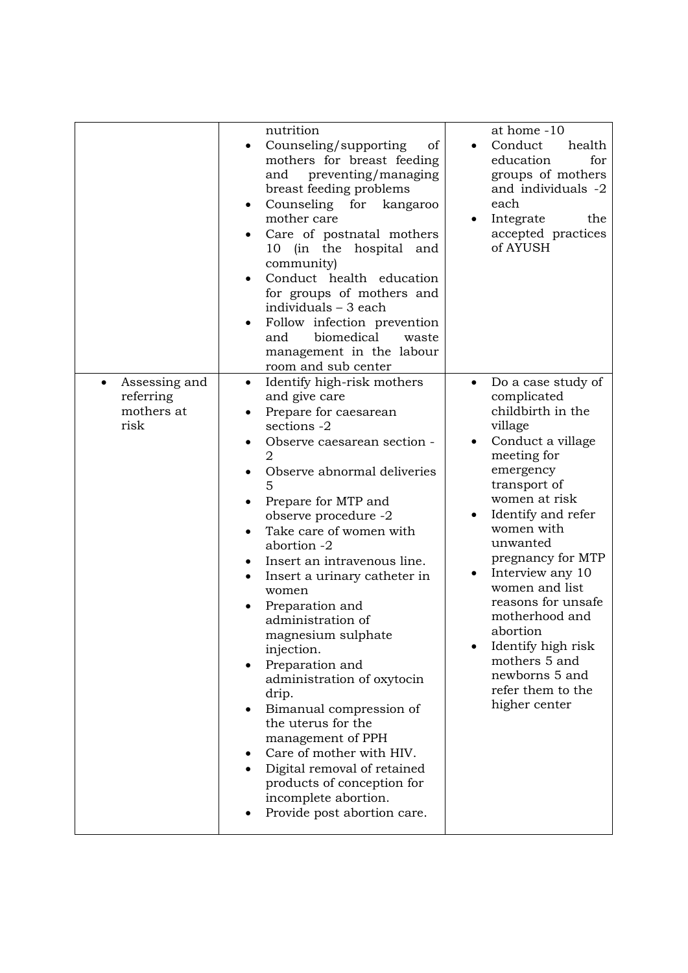|                                                  | nutrition<br>Counseling/supporting<br>of<br>mothers for breast feeding<br>preventing/managing<br>and<br>breast feeding problems<br>Counseling<br>for<br>kangaroo<br>$\bullet$<br>mother care<br>Care of postnatal mothers<br>10 (in the hospital and<br>community)<br>Conduct health education<br>for groups of mothers and<br>individuals - 3 each<br>Follow infection prevention<br>biomedical<br>and<br>waste<br>management in the labour<br>room and sub center                                                                                                                                                                                                                                        | at home -10<br>Conduct<br>health<br>education<br>for<br>groups of mothers<br>and individuals -2<br>each<br>Integrate<br>the<br>$\bullet$<br>accepted practices<br>of AYUSH                                                                                                                                                                                                                                                                  |
|--------------------------------------------------|------------------------------------------------------------------------------------------------------------------------------------------------------------------------------------------------------------------------------------------------------------------------------------------------------------------------------------------------------------------------------------------------------------------------------------------------------------------------------------------------------------------------------------------------------------------------------------------------------------------------------------------------------------------------------------------------------------|---------------------------------------------------------------------------------------------------------------------------------------------------------------------------------------------------------------------------------------------------------------------------------------------------------------------------------------------------------------------------------------------------------------------------------------------|
| Assessing and<br>referring<br>mothers at<br>risk | Identify high-risk mothers<br>$\bullet$<br>and give care<br>Prepare for caesarean<br>sections -2<br>Observe caesarean section -<br>2<br>Observe abnormal deliveries<br>5<br>Prepare for MTP and<br>observe procedure -2<br>Take care of women with<br>abortion -2<br>Insert an intravenous line.<br>Insert a urinary catheter in<br>٠<br>women<br>Preparation and<br>administration of<br>magnesium sulphate<br>injection.<br>Preparation and<br>administration of oxytocin<br>drip.<br>Bimanual compression of<br>the uterus for the<br>management of PPH<br>Care of mother with HIV.<br>Digital removal of retained<br>products of conception for<br>incomplete abortion.<br>Provide post abortion care. | Do a case study of<br>$\bullet$<br>complicated<br>childbirth in the<br>village<br>Conduct a village<br>$\bullet$<br>meeting for<br>emergency<br>transport of<br>women at risk<br>Identify and refer<br>women with<br>unwanted<br>pregnancy for MTP<br>Interview any 10<br>women and list<br>reasons for unsafe<br>motherhood and<br>abortion<br>Identify high risk<br>mothers 5 and<br>newborns 5 and<br>refer them to the<br>higher center |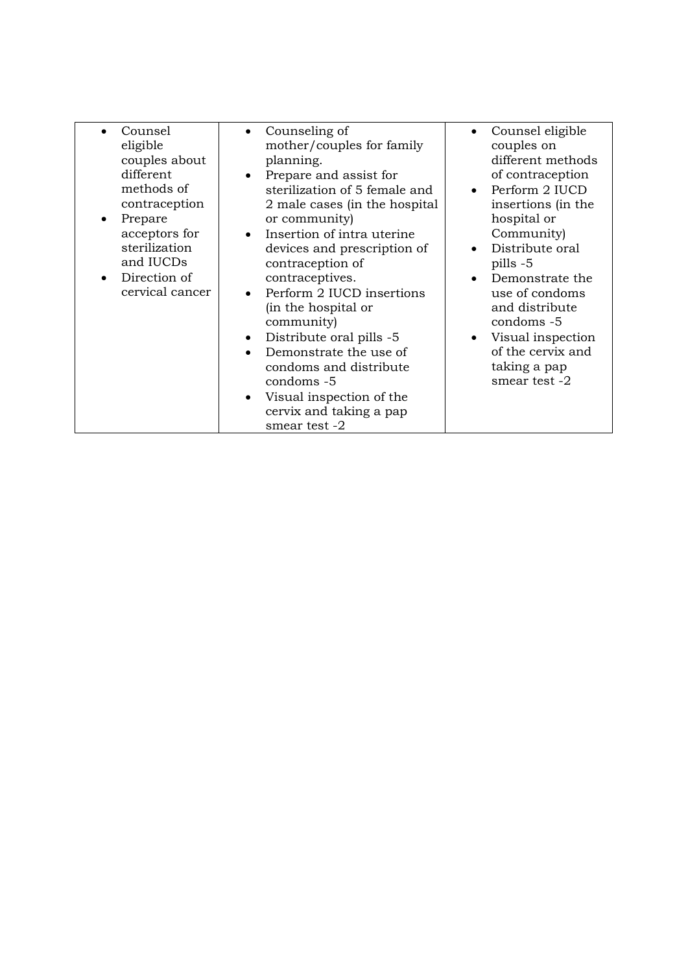| Counsel<br>eligible<br>couples about<br>different<br>methods of<br>contraception<br>Prepare<br>٠<br>acceptors for<br>sterilization<br>and IUCDs<br>Direction of<br>cervical cancer | Counseling of<br>$\bullet$<br>mother/couples for family<br>planning.<br>Prepare and assist for<br>$\bullet$<br>sterilization of 5 female and<br>2 male cases (in the hospital<br>or community)<br>Insertion of intra uterine<br>$\bullet$<br>devices and prescription of<br>contraception of<br>contraceptives.<br>Perform 2 IUCD insertions<br>(in the hospital or<br>community)<br>Distribute oral pills -5<br>$\bullet$<br>Demonstrate the use of<br>condoms and distribute<br>condoms -5<br>Visual inspection of the<br>$\bullet$<br>cervix and taking a pap<br>smear test -2 | Counsel eligible<br>couples on<br>different methods<br>of contraception<br>Perform 2 IUCD<br>insertions (in the<br>hospital or<br>Community)<br>Distribute oral<br>pills -5<br>Demonstrate the<br>use of condoms<br>and distribute<br>condoms -5<br>Visual inspection<br>of the cervix and<br>taking a pap<br>smear test -2 |
|------------------------------------------------------------------------------------------------------------------------------------------------------------------------------------|-----------------------------------------------------------------------------------------------------------------------------------------------------------------------------------------------------------------------------------------------------------------------------------------------------------------------------------------------------------------------------------------------------------------------------------------------------------------------------------------------------------------------------------------------------------------------------------|-----------------------------------------------------------------------------------------------------------------------------------------------------------------------------------------------------------------------------------------------------------------------------------------------------------------------------|
|------------------------------------------------------------------------------------------------------------------------------------------------------------------------------------|-----------------------------------------------------------------------------------------------------------------------------------------------------------------------------------------------------------------------------------------------------------------------------------------------------------------------------------------------------------------------------------------------------------------------------------------------------------------------------------------------------------------------------------------------------------------------------------|-----------------------------------------------------------------------------------------------------------------------------------------------------------------------------------------------------------------------------------------------------------------------------------------------------------------------------|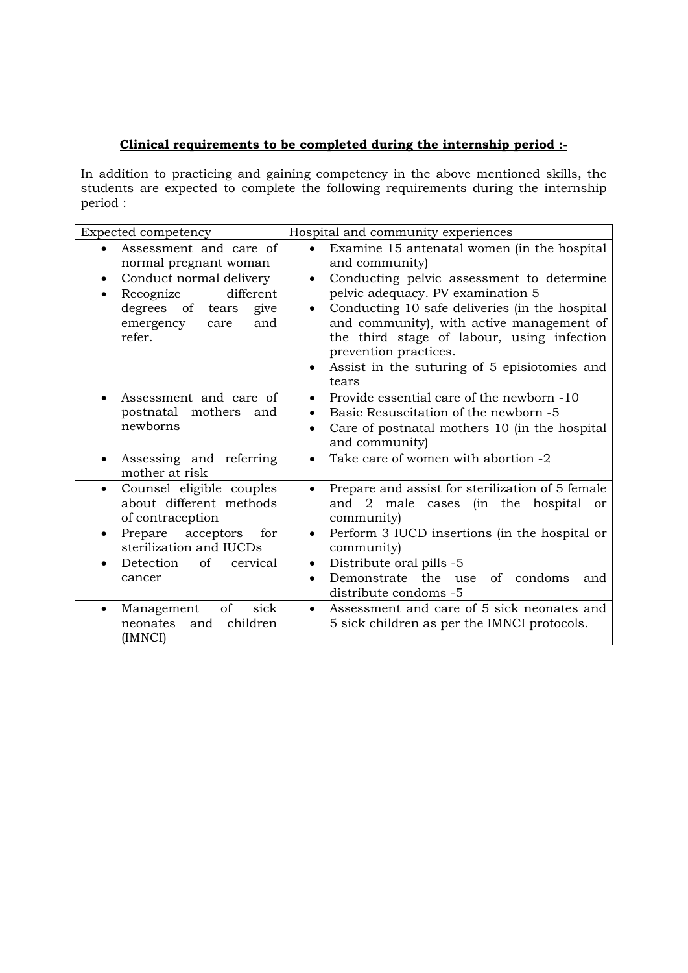# **Clinical requirements to be completed during the internship period :-**

In addition to practicing and gaining competency in the above mentioned skills, the students are expected to complete the following requirements during the internship period :

| Expected competency                                                                                                                                                               | Hospital and community experiences                                                                                                                                                                                                                                                                                              |
|-----------------------------------------------------------------------------------------------------------------------------------------------------------------------------------|---------------------------------------------------------------------------------------------------------------------------------------------------------------------------------------------------------------------------------------------------------------------------------------------------------------------------------|
| Assessment and care of<br>normal pregnant woman                                                                                                                                   | Examine 15 antenatal women (in the hospital<br>$\bullet$<br>and community)                                                                                                                                                                                                                                                      |
| Conduct normal delivery<br>$\bullet$<br>different<br>Recognize<br>$\bullet$<br>degrees of tears<br>give<br>emergency<br>and<br>care<br>refer.                                     | Conducting pelvic assessment to determine<br>$\bullet$<br>pelvic adequacy. PV examination 5<br>Conducting 10 safe deliveries (in the hospital<br>and community), with active management of<br>the third stage of labour, using infection<br>prevention practices.<br>Assist in the suturing of 5 episiotomies and<br>٠<br>tears |
| Assessment and care of<br>$\bullet$<br>postnatal mothers and<br>newborns                                                                                                          | Provide essential care of the newborn -10<br>Basic Resuscitation of the newborn -5<br>Care of postnatal mothers 10 (in the hospital<br>and community)                                                                                                                                                                           |
| Assessing and referring<br>$\bullet$<br>mother at risk                                                                                                                            | Take care of women with abortion -2                                                                                                                                                                                                                                                                                             |
| Counsel eligible couples<br>$\bullet$<br>about different methods<br>of contraception<br>Prepare acceptors for<br>sterilization and IUCDs<br>of<br>Detection<br>cervical<br>cancer | Prepare and assist for sterilization of 5 female<br>and 2 male cases (in the hospital<br>or<br>community)<br>Perform 3 IUCD insertions (in the hospital or<br>community)<br>Distribute oral pills -5<br>Demonstrate the use<br>of condoms<br>and<br>distribute condoms -5                                                       |
| of<br>sick<br>Management<br>children<br>neonates<br>and<br>(IMNCI)                                                                                                                | Assessment and care of 5 sick neonates and<br>$\bullet$<br>5 sick children as per the IMNCI protocols.                                                                                                                                                                                                                          |